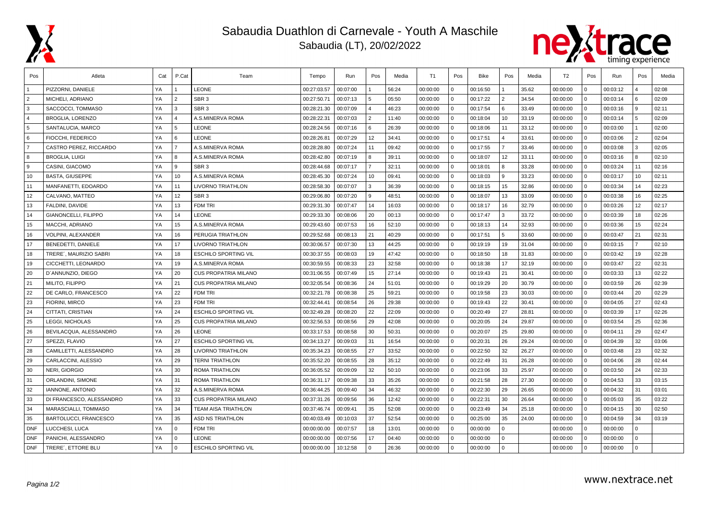

## Sabaudia Duathlon di Carnevale - Youth A Maschile

Sabaudia (LT), 20/02/2022



| Pos            | Atleta                      | Cat | P.Cat          | Team                        | Tempo       | Run      | Pos           | Media | T1       | Pos          | Bike     | Pos            | Media | T <sub>2</sub> | Pos          | Run      | Pos            | Media |
|----------------|-----------------------------|-----|----------------|-----------------------------|-------------|----------|---------------|-------|----------|--------------|----------|----------------|-------|----------------|--------------|----------|----------------|-------|
|                | PIZZORNI, DANIELE           | YA  |                | <b>LEONE</b>                | 00:27:03.57 | 00:07:00 |               | 56:24 | 00:00:00 | 0            | 00:16:50 |                | 35.62 | 00:00:00       | $\Omega$     | 00:03:12 |                | 02:08 |
| $\overline{2}$ | MICHELI, ADRIANO            | YA  | 2              | SBR <sub>3</sub>            | 00:27:50.71 | 00:07:13 | 5             | 05:50 | 00:00:00 | $\mathbf{0}$ | 00:17:22 | 2              | 34.54 | 00:00:00       | $\Omega$     | 00:03:14 | 6              | 02:09 |
| 3              | SACCOCCI, TOMMASO           | YA  | 3              | SBR <sub>3</sub>            | 00:28:21.30 | 00:07:09 |               | 46:23 | 00:00:00 | $\mathbf{0}$ | 00:17:54 | <b>6</b>       | 33.49 | 00:00:00       | $\Omega$     | 00:03:16 | 9              | 02:11 |
| $\overline{4}$ | <b>BROGLIA, LORENZO</b>     | YA  | $\overline{4}$ | A.S.MINERVA ROMA            | 00:28:22.31 | 00:07:03 | 2             | 11:40 | 00:00:00 | $\Omega$     | 00:18:04 | 10             | 33.19 | 00:00:00       | $\Omega$     | 00:03:14 | 5              | 02:09 |
| 5              | SANTALUCIA, MARCO           | YA  | 5              | <b>LEONE</b>                | 00:28:24.56 | 00:07:16 | 6             | 26:39 | 00:00:00 | $\Omega$     | 00:18:06 | 11             | 33.12 | 00:00:00       | $\Omega$     | 00:03:00 |                | 02:00 |
| 6              | FIOCCHI, FEDERICO           | YA  | 6              | <b>LEONE</b>                | 00:28:26.81 | 00:07:29 | 12            | 34:41 | 00:00:00 | $\mathbf{0}$ | 00:17:51 | $4^{\circ}$    | 33.61 | 00:00:00       | $\Omega$     | 00:03:06 | $\overline{2}$ | 02:04 |
| $\overline{7}$ | CASTRO PEREZ. RICCARDO      | YA  | $\overline{7}$ | A.S.MINERVA ROMA            | 00:28:28.80 | 00:07:24 | 11            | 09:42 | 00:00:00 | $\mathbf 0$  | 00:17:55 | $\overline{7}$ | 33.46 | 00:00:00       | $\Omega$     | 00:03:08 | 3              | 02:05 |
| 8              | <b>BROGLIA, LUIGI</b>       | YA  | 8              | A.S.MINERVA ROMA            | 00:28:42.80 | 00:07:19 | -8            | 39:11 | 00:00:00 | $\mathbf{0}$ | 00:18:07 | 12             | 33.11 | 00:00:00       | $\mathbf{0}$ | 00:03:16 | 8              | 02:10 |
| l 9            | CASINI, GIACOMO             | YA  | 9              | SBR <sub>3</sub>            | 00:28:44.68 | 00:07:17 |               | 32:11 | 00:00:00 | $\Omega$     | 00:18:01 | 8              | 33.28 | 00:00:00       | $\Omega$     | 00:03:24 | 11             | 02:16 |
| 10             | <b>BASTA, GIUSEPPE</b>      | YA  | 10             | A.S.MINERVA ROMA            | 00:28:45.30 | 00:07:24 | 10            | 09:41 | 00:00:00 | $\Omega$     | 00:18:03 | 9              | 33.23 | 00:00:00       | $\Omega$     | 00:03:17 | 10             | 02:11 |
| 11             | MANFANETTI, EDOARDO         | YA  | 11             | <b>LIVORNO TRIATHLON</b>    | 00:28:58.30 | 00:07:07 | $\mathcal{R}$ | 36:39 | 00:00:00 | $\Omega$     | 00:18:15 | 15             | 32.86 | 00:00:00       | $\Omega$     | 00:03:34 | 14             | 02:23 |
| 12             | CALVANO, MATTEO             | YA  | 12             | SBR <sub>3</sub>            | 00:29:06.80 | 00:07:20 | 9             | 48:51 | 00:00:00 | $\mathbf{0}$ | 00:18:07 | 13             | 33.09 | 00:00:00       | $\Omega$     | 00:03:38 | 16             | 02:25 |
| 13             | FALDINI, DAVIDE             | YA  | 13             | <b>FDM TRI</b>              | 00:29:31.30 | 00:07:47 | 14            | 16:03 | 00:00:00 | $\Omega$     | 00:18:17 | 16             | 32.79 | 00:00:00       | $\Omega$     | 00:03:26 | 12             | 02:17 |
| 14             | <b>GIANONCELLI, FILIPPO</b> | YA  | 14             | <b>LEONE</b>                | 00:29:33.30 | 00:08:06 | 20            | 00:13 | 00:00:00 | $\Omega$     | 00:17:47 | 3              | 33.72 | 00:00:00       | $\Omega$     | 00:03:39 | 18             | 02:26 |
| 15             | MACCHI, ADRIANO             | YA  | 15             | A.S.MINERVA ROMA            | 00:29:43.60 | 00:07:53 | 16            | 52:10 | 00:00:00 | $\mathbf 0$  | 00:18:13 | 14             | 32.93 | 00:00:00       | $\Omega$     | 00:03:36 | 15             | 02:24 |
| 16             | VOLPINI, ALEXANDER          | YA  | 16             | PERUGIA TRIATHLON           | 00:29:52.68 | 00:08:13 | 21            | 40:29 | 00:00:00 | $\mathbf 0$  | 00:17:51 | 5              | 33.60 | 00:00:00       | $\mathbf{0}$ | 00:03:47 | 21             | 02:31 |
| 17             | BENEDETTI, DANIELE          | YA  | 17             | LIVORNO TRIATHLON           | 00:30:06.57 | 00:07:30 | 13            | 44:25 | 00:00:00 | $\Omega$     | 00:19:19 | 19             | 31.04 | 00:00:00       | $\Omega$     | 00:03:15 | $\overline{7}$ | 02:10 |
| 18             | TRERE', MAURIZIO SABRI      | YA  | 18             | <b>ESCHILO SPORTING VIL</b> | 00:30:37.55 | 00:08:03 | 19            | 47:42 | 00:00:00 | $\Omega$     | 00:18:50 | 18             | 31.83 | 00:00:00       | $\Omega$     | 00:03:42 | 19             | 02:28 |
| 19             | CICCHETTI, LEONARDO         | YA  | 19             | A.S.MINERVA ROMA            | 00:30:59.55 | 00:08:33 | 23            | 32:58 | 00:00:00 | $\Omega$     | 00:18:38 | 17             | 32.19 | 00:00:00       | $\Omega$     | 00:03:47 | 22             | 02:31 |
| 20             | D'ANNUNZIO, DIEGO           | YA  | 20             | <b>CUS PROPATRIA MILANO</b> | 00:31:06.55 | 00:07:49 | 15            | 27:14 | 00:00:00 | $\Omega$     | 00:19:43 | 21             | 30.41 | 00:00:00       | $\Omega$     | 00:03:33 | 13             | 02:22 |
| 21             | MILITO, FILIPPO             | YA  | 21             | <b>CUS PROPATRIA MILANO</b> | 00:32:05.54 | 00:08:36 | 24            | 51:01 | 00:00:00 | $\Omega$     | 00:19:29 | 20             | 30.79 | 00:00:00       | $\Omega$     | 00:03:59 | 26             | 02:39 |
| 22             | DE CARLO, FRANCESCO         | YA  | 22             | <b>FDM TRI</b>              | 00:32:21.78 | 00:08:38 | 25            | 59:21 | 00:00:00 | $\Omega$     | 00:19:58 | 23             | 30.03 | 00:00:00       | $\Omega$     | 00:03:44 | 20             | 02:29 |
| 23             | <b>FIORINI, MIRCO</b>       | YA  | 23             | <b>FDM TRI</b>              | 00:32:44.41 | 00:08:54 | 26            | 29:38 | 00:00:00 | $\Omega$     | 00:19:43 | 22             | 30.41 | 00:00:00       | $\Omega$     | 00:04:05 | 27             | 02:43 |
| 24             | CITTATI, CRISTIAN           | YA  | 24             | <b>ESCHILO SPORTING VIL</b> | 00:32:49.28 | 00:08:20 | 22            | 22:09 | 00:00:00 | $\Omega$     | 00:20:49 | 27             | 28.81 | 00:00:00       | $\Omega$     | 00:03:39 | 17             | 02:26 |
| 25             | <b>LEGGI, NICHOLAS</b>      | YA  | 25             | <b>CUS PROPATRIA MILANO</b> | 00:32:56.53 | 00:08:56 | 29            | 42:08 | 00:00:00 | $\Omega$     | 00:20:05 | 24             | 29.87 | 00:00:00       | $\Omega$     | 00:03:54 | 25             | 02:36 |
| 26             | BEVILACQUA, ALESSANDRO      | YA  | 26             | <b>LEONE</b>                | 00:33:17.53 | 00:08:58 | 30            | 50:31 | 00:00:00 | $\Omega$     | 00:20:07 | 25             | 29.80 | 00:00:00       | $\Omega$     | 00:04:11 | 29             | 02:47 |
| 27             | SPEZZI, FLAVIO              | YA  | 27             | <b>ESCHILO SPORTING VIL</b> | 00:34:13.27 | 00:09:03 | 31            | 16:54 | 00:00:00 | $\Omega$     | 00:20:31 | 26             | 29.24 | 00:00:00       | $\Omega$     | 00:04:39 | 32             | 03:06 |
| 28             | CAMILLETTI, ALESSANDRO      | YA  | 28             | <b>LIVORNO TRIATHLON</b>    | 00:35:34.23 | 00:08:55 | 27            | 33:52 | 00:00:00 | $\Omega$     | 00:22:50 | 32             | 26.27 | 00:00:00       | $\Omega$     | 00:03:48 | 23             | 02:32 |
| 29             | <b>CARLACCINI, ALESSIO</b>  | YA  | 29             | <b>TERNI TRIATHLON</b>      | 00:35:52.20 | 00:08:55 | 28            | 35:12 | 00:00:00 | $\Omega$     | 00:22:49 | 31             | 26.28 | 00:00:00       | $\Omega$     | 00:04:06 | 28             | 02:44 |
| 30             | <b>NERI, GIORGIO</b>        | YA  | 30             | <b>ROMA TRIATHLON</b>       | 00:36:05.52 | 00:09:09 | 32            | 50:10 | 00:00:00 | $\Omega$     | 00:23:06 | 33             | 25.97 | 00:00:00       | $\Omega$     | 00:03:50 | 24             | 02:33 |
| 31             | ORLANDINI, SIMONE           | YA  | 31             | <b>ROMA TRIATHLON</b>       | 00:36:31.17 | 00:09:38 | 33            | 35:26 | 00:00:00 | $\Omega$     | 00:21:58 | 28             | 27.30 | 00:00:00       | $\Omega$     | 00:04:53 | 33             | 03:15 |
| 32             | <b>IANNONE, ANTONIO</b>     | YA  | 32             | A.S.MINERVA ROMA            | 00:36:44.25 | 00:09:40 | 34            | 46:32 | 00:00:00 | $\Omega$     | 00:22:30 | 29             | 26.65 | 00:00:00       | $\Omega$     | 00:04:32 | 31             | 03:01 |
| 33             | DI FRANCESCO, ALESSANDRO    | YA  | 33             | <b>CUS PROPATRIA MILANO</b> | 00:37:31.26 | 00:09:56 | 36            | 12:42 | 00:00:00 | $\Omega$     | 00:22:31 | 30             | 26.64 | 00:00:00       | $\Omega$     | 00:05:03 | 35             | 03:22 |
| 34             | MARASCIALLI, TOMMASO        | YA  | 34             | <b>TEAM AISA TRIATHLON</b>  | 00:37:46.74 | 00:09:41 | 35            | 52:08 | 00:00:00 | $\Omega$     | 00:23:49 | 34             | 25.18 | 00:00:00       | $\Omega$     | 00:04:15 | 30             | 02:50 |
| 35             | BARTOLUCCI, FRANCESCO       | YA  | 35             | <b>ASD NS TRIATHLON</b>     | 00:40:03.49 | 00:10:03 | 37            | 52:54 | 00:00:00 | $\mathbf{0}$ | 00:25:00 | 35             | 24.00 | 00:00:00       | $\Omega$     | 00:04:59 | 34             | 03:19 |
| <b>DNF</b>     | LUCCHESI, LUCA              | YA  | $\Omega$       | <b>FDM TRI</b>              | 00:00:00.00 | 00:07:57 | 18            | 13:01 | 00:00:00 | $\Omega$     | 00:00:00 | $\Omega$       |       | 00:00:00       | $\Omega$     | 00:00:00 | $\Omega$       |       |
| <b>DNF</b>     | PANICHI, ALESSANDRO         | YA  | $\mathbf{0}$   | <b>LEONE</b>                | 00:00:00.00 | 00:07:56 | 17            | 04:40 | 00:00:00 | $\Omega$     | 00:00:00 | $\mathbf{0}$   |       | 00:00:00       | $\Omega$     | 00:00:00 | $\Omega$       |       |
| <b>DNF</b>     | TRERE', ETTORE BLU          | YA  | $\Omega$       | <b>ESCHILO SPORTING VIL</b> | 00:00:00.00 | 10:12:58 | $\Omega$      | 26:36 | 00:00:00 | $\Omega$     | 00:00:00 | $\Omega$       |       | 00:00:00       | $\Omega$     | 00:00:00 | $\Omega$       |       |